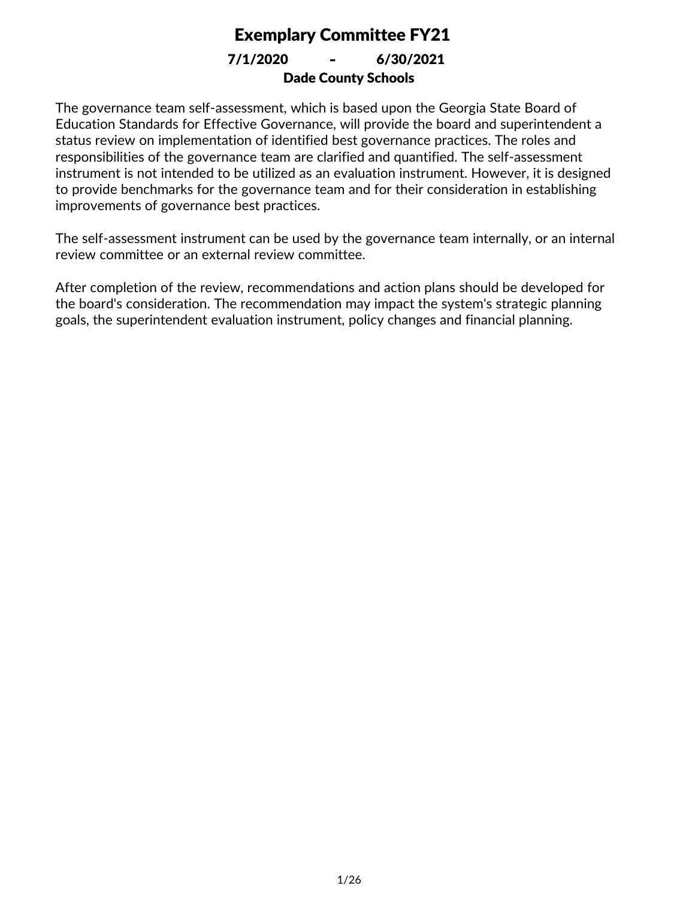Dade County Schools 7/1/2020 **-** 6/30/2021

The governance team self-assessment, which is based upon the Georgia State Board of Education Standards for Effective Governance, will provide the board and superintendent a status review on implementation of identified best governance practices. The roles and responsibilities of the governance team are clarified and quantified. The self-assessment instrument is not intended to be utilized as an evaluation instrument. However, it is designed to provide benchmarks for the governance team and for their consideration in establishing improvements of governance best practices.

The self-assessment instrument can be used by the governance team internally, or an internal review committee or an external review committee.

After completion of the review, recommendations and action plans should be developed for the board's consideration. The recommendation may impact the system's strategic planning goals, the superintendent evaluation instrument, policy changes and financial planning.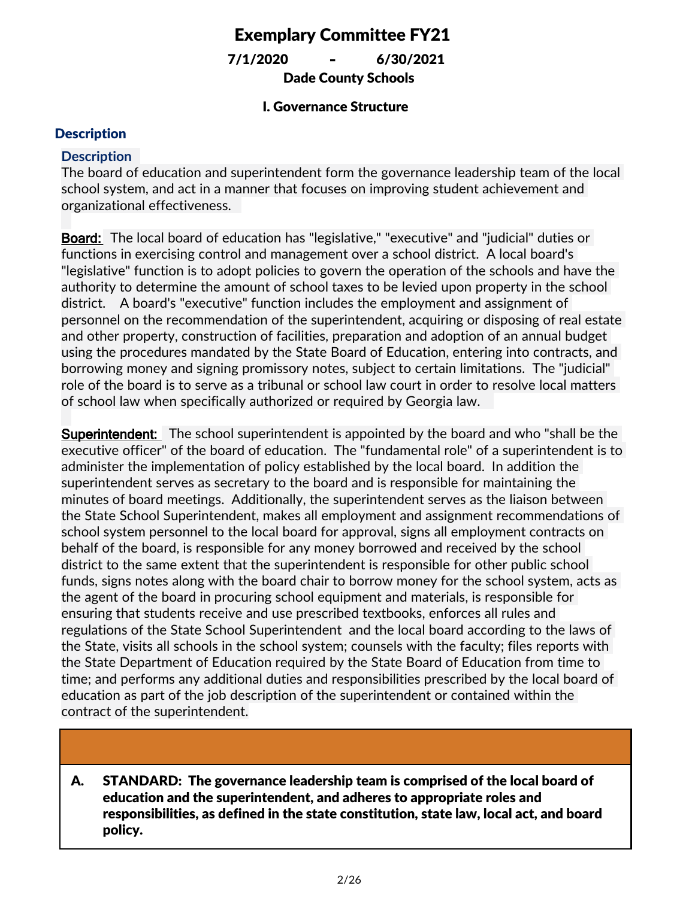Dade County Schools 7/1/2020 **-** 6/30/2021

#### I. Governance Structure

#### **Description**

#### **Description**

The board of education and superintendent form the governance leadership team of the local school system, and act in a manner that focuses on improving student achievement and organizational effectiveness.

**Board:** The local board of education has "legislative," "executive" and "judicial" duties or functions in exercising control and management over a school district. A local board's "legislative" function is to adopt policies to govern the operation of the schools and have the authority to determine the amount of school taxes to be levied upon property in the school district. A board's "executive" function includes the employment and assignment of personnel on the recommendation of the superintendent, acquiring or disposing of real estate and other property, construction of facilities, preparation and adoption of an annual budget using the procedures mandated by the State Board of Education, entering into contracts, and borrowing money and signing promissory notes, subject to certain limitations. The "judicial" role of the board is to serve as a tribunal or school law court in order to resolve local matters of school law when specifically authorized or required by Georgia law.

**Superintendent:** The school superintendent is appointed by the board and who "shall be the executive officer" of the board of education. The "fundamental role" of a superintendent is to administer the implementation of policy established by the local board. In addition the superintendent serves as secretary to the board and is responsible for maintaining the minutes of board meetings. Additionally, the superintendent serves as the liaison between the State School Superintendent, makes all employment and assignment recommendations of school system personnel to the local board for approval, signs all employment contracts on behalf of the board, is responsible for any money borrowed and received by the school district to the same extent that the superintendent is responsible for other public school funds, signs notes along with the board chair to borrow money for the school system, acts as the agent of the board in procuring school equipment and materials, is responsible for ensuring that students receive and use prescribed textbooks, enforces all rules and regulations of the State School Superintendent and the local board according to the laws of the State, visits all schools in the school system; counsels with the faculty; files reports with the State Department of Education required by the State Board of Education from time to time; and performs any additional duties and responsibilities prescribed by the local board of education as part of the job description of the superintendent or contained within the contract of the superintendent.

STANDARD: The governance leadership team is comprised of the local board of education and the superintendent, and adheres to appropriate roles and responsibilities, as defined in the state constitution, state law, local act, and board policy. A.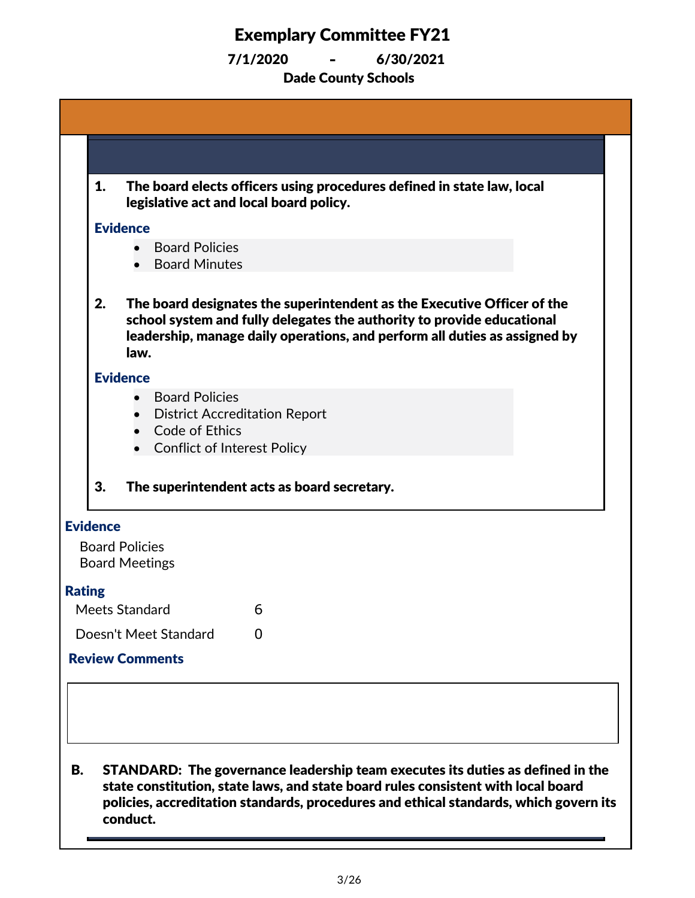|    | 1.<br>The board elects officers using procedures defined in state law, local<br>legislative act and local board policy.                                                                                                                                                  |  |
|----|--------------------------------------------------------------------------------------------------------------------------------------------------------------------------------------------------------------------------------------------------------------------------|--|
|    | <b>Evidence</b>                                                                                                                                                                                                                                                          |  |
|    | <b>Board Policies</b><br><b>Board Minutes</b>                                                                                                                                                                                                                            |  |
|    | 2.<br>The board designates the superintendent as the Executive Officer of the<br>school system and fully delegates the authority to provide educational<br>leadership, manage daily operations, and perform all duties as assigned by<br>law.                            |  |
|    | <b>Evidence</b>                                                                                                                                                                                                                                                          |  |
|    | <b>Board Policies</b><br><b>District Accreditation Report</b><br>Code of Ethics                                                                                                                                                                                          |  |
|    | <b>Conflict of Interest Policy</b>                                                                                                                                                                                                                                       |  |
|    | 3.<br>The superintendent acts as board secretary.                                                                                                                                                                                                                        |  |
|    | <b>Evidence</b>                                                                                                                                                                                                                                                          |  |
|    | <b>Board Policies</b><br><b>Board Meetings</b>                                                                                                                                                                                                                           |  |
|    | <b>Rating</b>                                                                                                                                                                                                                                                            |  |
|    | Meets Standard<br>6                                                                                                                                                                                                                                                      |  |
|    | Doesn't Meet Standard<br>0                                                                                                                                                                                                                                               |  |
|    | <b>Review Comments</b>                                                                                                                                                                                                                                                   |  |
|    |                                                                                                                                                                                                                                                                          |  |
|    |                                                                                                                                                                                                                                                                          |  |
| В. | STANDARD: The governance leadership team executes its duties as defined in the<br>state constitution, state laws, and state board rules consistent with local board<br>policies, accreditation standards, procedures and ethical standards, which govern its<br>conduct. |  |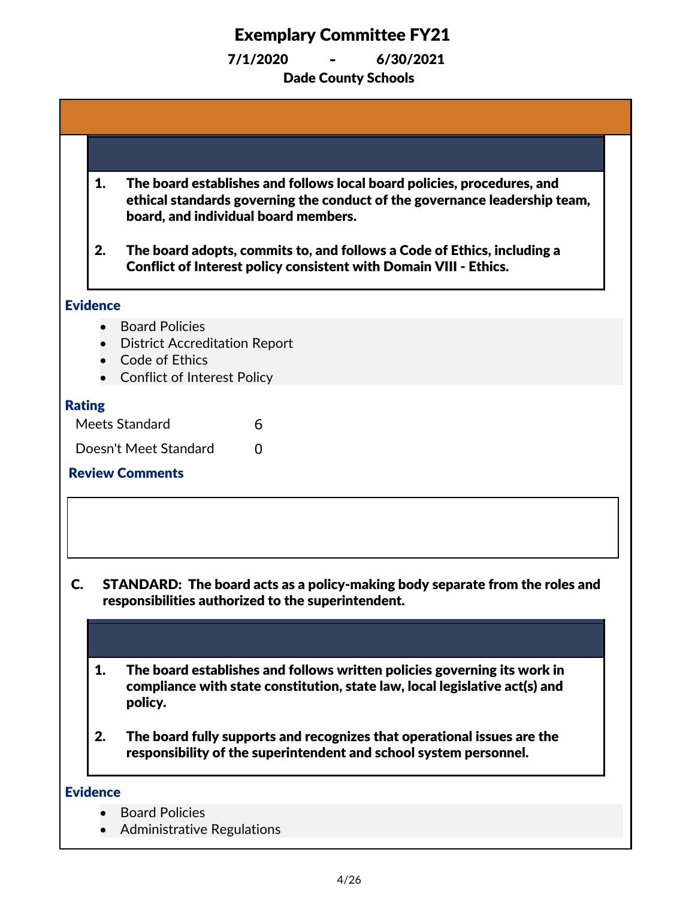|               | 1.              | The board establishes and follows local board policies, procedures, and<br>ethical standards governing the conduct of the governance leadership team,<br>board, and individual board members. |
|---------------|-----------------|-----------------------------------------------------------------------------------------------------------------------------------------------------------------------------------------------|
|               | 2.              | The board adopts, commits to, and follows a Code of Ethics, including a<br><b>Conflict of Interest policy consistent with Domain VIII - Ethics.</b>                                           |
|               | <b>Evidence</b> |                                                                                                                                                                                               |
|               |                 | <b>Board Policies</b>                                                                                                                                                                         |
|               |                 | <b>District Accreditation Report</b><br>Code of Ethics                                                                                                                                        |
|               |                 | <b>Conflict of Interest Policy</b>                                                                                                                                                            |
| <b>Rating</b> |                 |                                                                                                                                                                                               |
|               |                 | Meets Standard<br>6                                                                                                                                                                           |
|               |                 | Doesn't Meet Standard<br>0                                                                                                                                                                    |
|               |                 | <b>Review Comments</b>                                                                                                                                                                        |
|               |                 |                                                                                                                                                                                               |
|               |                 |                                                                                                                                                                                               |
|               |                 |                                                                                                                                                                                               |
| C.            |                 | STANDARD: The board acts as a policy-making body separate from the roles and<br>responsibilities authorized to the superintendent.                                                            |
|               |                 |                                                                                                                                                                                               |
|               | 1.              | The board establishes and follows written policies governing its work in<br>compliance with state constitution, state law, local legislative act(s) and<br>policy.                            |
|               | 2.              | The board fully supports and recognizes that operational issues are the<br>responsibility of the superintendent and school system personnel.                                                  |
|               | <b>Evidence</b> |                                                                                                                                                                                               |
|               |                 | <b>Board Policies</b>                                                                                                                                                                         |
|               |                 | <b>Administrative Regulations</b>                                                                                                                                                             |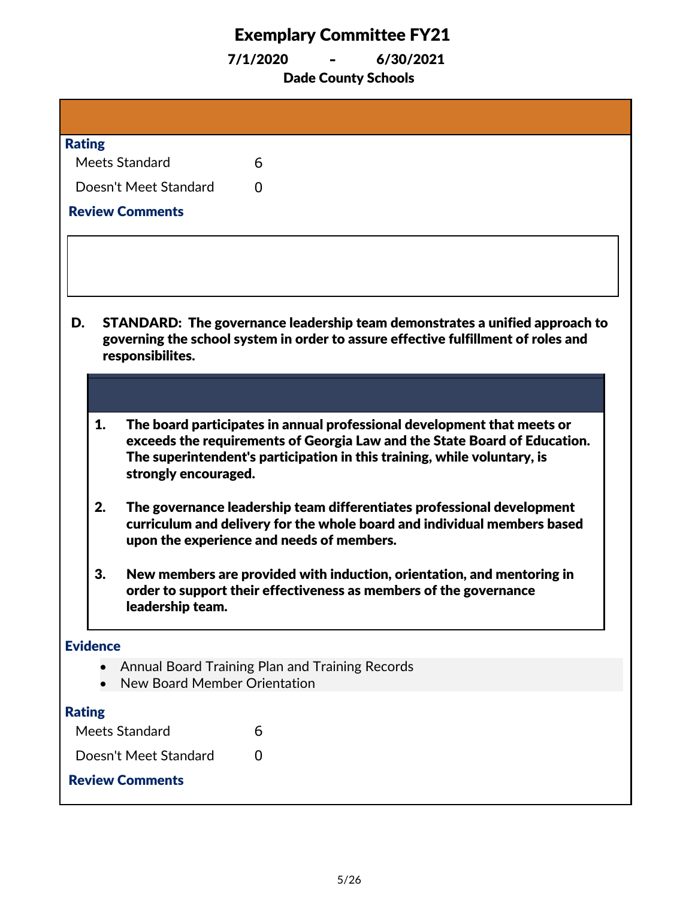7/1/2020 **-** 6/30/2021

Dade County Schools

| <b>Rating</b>                |                                                                                                                                                                                                                                  |  |  |
|------------------------------|----------------------------------------------------------------------------------------------------------------------------------------------------------------------------------------------------------------------------------|--|--|
| Meets Standard               | 6                                                                                                                                                                                                                                |  |  |
| Doesn't Meet Standard        | 0                                                                                                                                                                                                                                |  |  |
| <b>Review Comments</b>       |                                                                                                                                                                                                                                  |  |  |
|                              |                                                                                                                                                                                                                                  |  |  |
|                              |                                                                                                                                                                                                                                  |  |  |
|                              |                                                                                                                                                                                                                                  |  |  |
| D.<br>responsibilites.       | STANDARD: The governance leadership team demonstrates a unified approach to<br>governing the school system in order to assure effective fulfillment of roles and                                                                 |  |  |
|                              |                                                                                                                                                                                                                                  |  |  |
| 1.<br>strongly encouraged.   | The board participates in annual professional development that meets or<br>exceeds the requirements of Georgia Law and the State Board of Education.<br>The superintendent's participation in this training, while voluntary, is |  |  |
| 2.                           | The governance leadership team differentiates professional development<br>curriculum and delivery for the whole board and individual members based<br>upon the experience and needs of members.                                  |  |  |
| 3.<br>leadership team        | New members are provided with induction, orientation, and mentoring in<br>order to support their effectiveness as members of the governance                                                                                      |  |  |
| <b>Evidence</b>              |                                                                                                                                                                                                                                  |  |  |
| New Board Member Orientation | Annual Board Training Plan and Training Records                                                                                                                                                                                  |  |  |
| <b>Rating</b>                |                                                                                                                                                                                                                                  |  |  |
| Meets Standard               | 6                                                                                                                                                                                                                                |  |  |
| Doesn't Meet Standard        | 0                                                                                                                                                                                                                                |  |  |
| <b>Review Comments</b>       |                                                                                                                                                                                                                                  |  |  |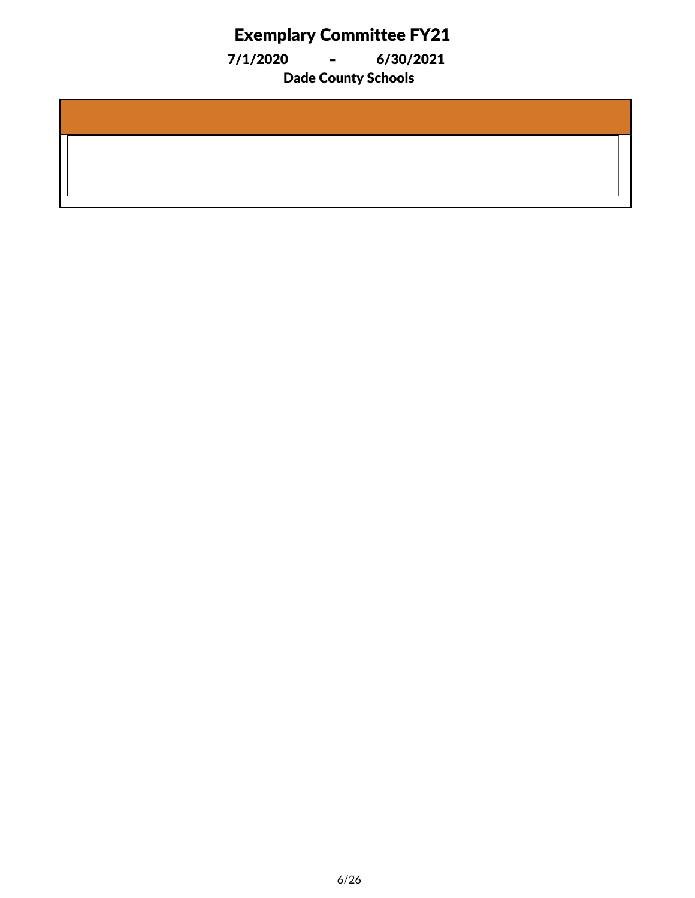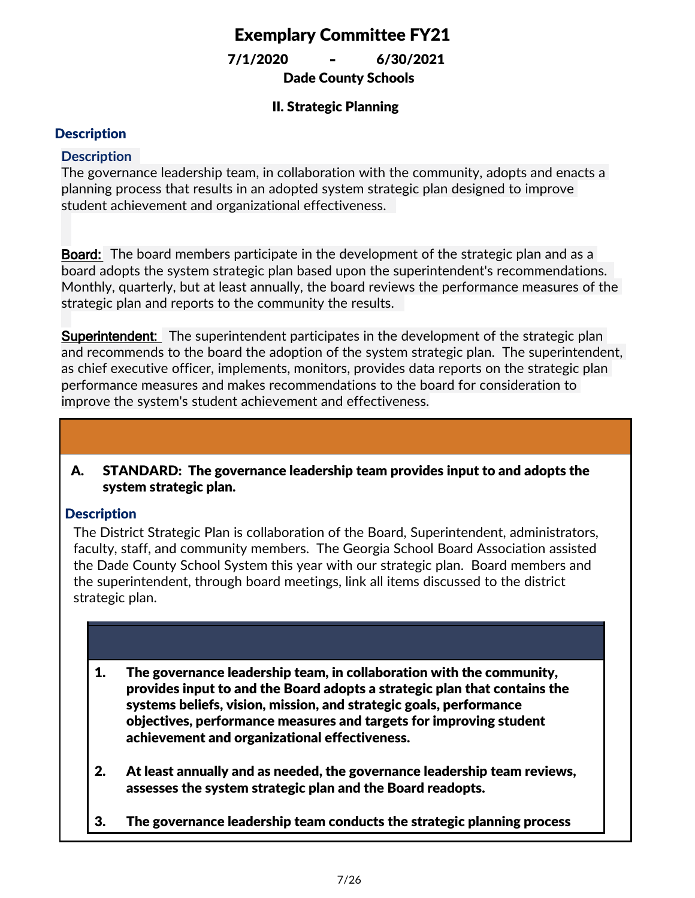Dade County Schools 7/1/2020 **-** 6/30/2021

### II. Strategic Planning

### **Description**

### **Description**

The governance leadership team, in collaboration with the community, adopts and enacts a planning process that results in an adopted system strategic plan designed to improve student achievement and organizational effectiveness.

**Board:** The board members participate in the development of the strategic plan and as a board adopts the system strategic plan based upon the superintendent's recommendations. Monthly, quarterly, but at least annually, the board reviews the performance measures of the strategic plan and reports to the community the results.

**Superintendent:** The superintendent participates in the development of the strategic plan and recommends to the board the adoption of the system strategic plan. The superintendent, as chief executive officer, implements, monitors, provides data reports on the strategic plan performance measures and makes recommendations to the board for consideration to improve the system's student achievement and effectiveness.

#### STANDARD: The governance leadership team provides input to and adopts the system strategic plan. A.

### **Description**

The District Strategic Plan is collaboration of the Board, Superintendent, administrators, faculty, staff, and community members. The Georgia School Board Association assisted the Dade County School System this year with our strategic plan. Board members and the superintendent, through board meetings, link all items discussed to the district strategic plan.

- 1. The governance leadership team, in collaboration with the community, provides input to and the Board adopts a strategic plan that contains the systems beliefs, vision, mission, and strategic goals, performance objectives, performance measures and targets for improving student achievement and organizational effectiveness.
- 2. At least annually and as needed, the governance leadership team reviews, assesses the system strategic plan and the Board readopts.
- 3. The governance leadership team conducts the strategic planning process

consistent with Domain VIII: Ethics.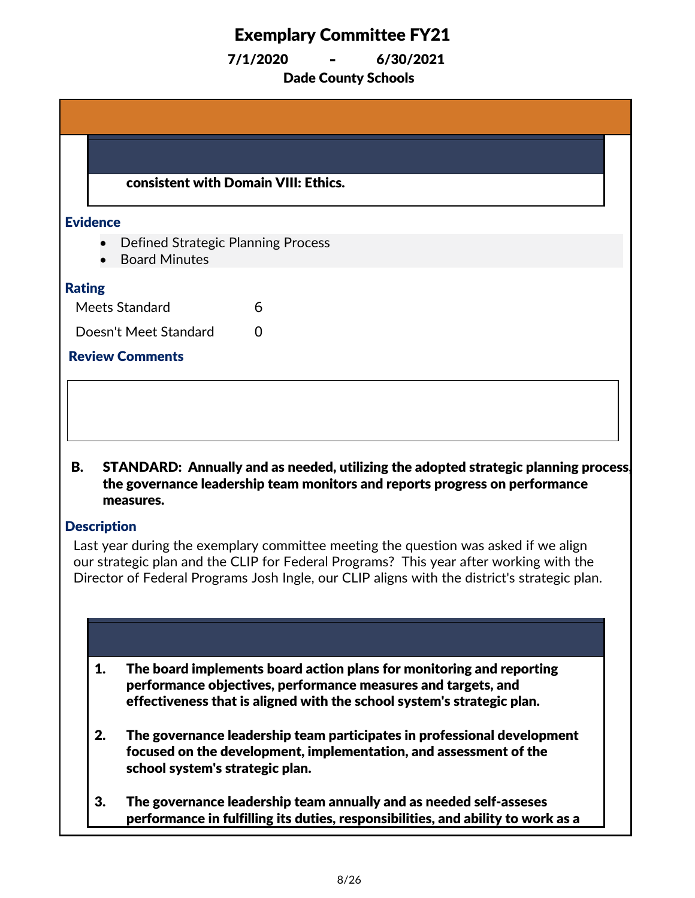7/1/2020 **-** 6/30/2021

Dade County Schools

|                                       | consistent with Domain VIII: Ethics.                                                                                                                                                                                                                                                                                                                                                                                                                |
|---------------------------------------|-----------------------------------------------------------------------------------------------------------------------------------------------------------------------------------------------------------------------------------------------------------------------------------------------------------------------------------------------------------------------------------------------------------------------------------------------------|
| <b>Evidence</b>                       |                                                                                                                                                                                                                                                                                                                                                                                                                                                     |
|                                       | <b>Defined Strategic Planning Process</b><br><b>Board Minutes</b>                                                                                                                                                                                                                                                                                                                                                                                   |
| <b>Rating</b>                         |                                                                                                                                                                                                                                                                                                                                                                                                                                                     |
| Meets Standard                        | 6                                                                                                                                                                                                                                                                                                                                                                                                                                                   |
|                                       | Doesn't Meet Standard<br>0                                                                                                                                                                                                                                                                                                                                                                                                                          |
| <b>Review Comments</b>                |                                                                                                                                                                                                                                                                                                                                                                                                                                                     |
| В.<br>measures.<br><b>Description</b> | STANDARD: Annually and as needed, utilizing the adopted strategic planning process,<br>the governance leadership team monitors and reports progress on performance<br>Last year during the exemplary committee meeting the question was asked if we align<br>our strategic plan and the CLIP for Federal Programs? This year after working with the<br>Director of Federal Programs Josh Ingle, our CLIP aligns with the district's strategic plan. |
|                                       |                                                                                                                                                                                                                                                                                                                                                                                                                                                     |
| 1.                                    | The board implements board action plans for monitoring and reporting<br>performance objectives, performance measures and targets, and<br>effectiveness that is aligned with the school system's strategic plan.                                                                                                                                                                                                                                     |
| 2.                                    | The governance leadership team participates in professional development<br>focused on the development, implementation, and assessment of the<br>school system's strategic plan.                                                                                                                                                                                                                                                                     |

3. The governance leadership team annually and as needed self-asseses performance in fulfilling its duties, responsibilities, and ability to work as a

team in support of implementing the strategic plan.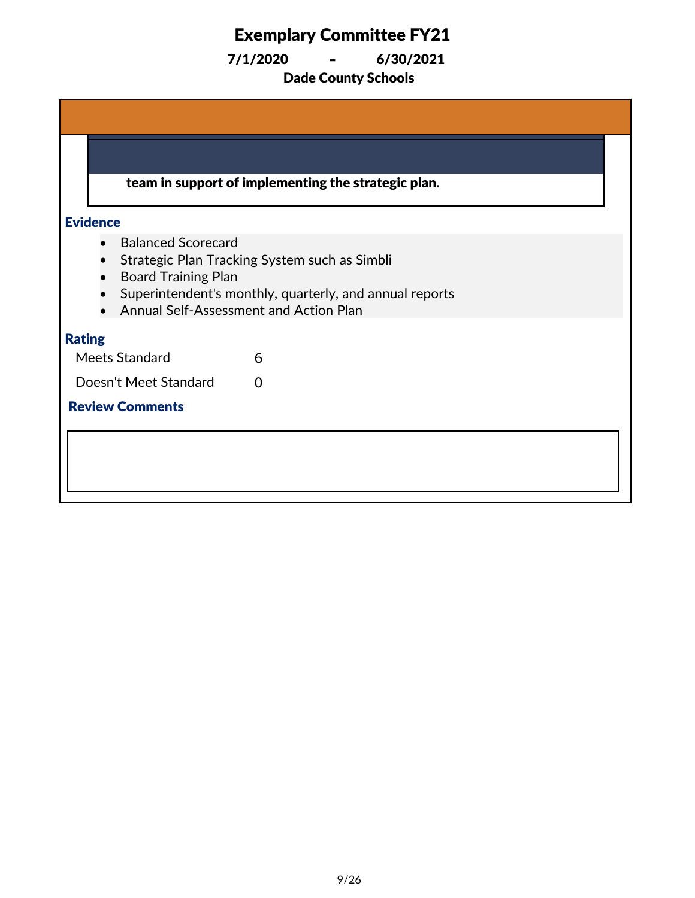Dade County Schools 7/1/2020 **-** 6/30/2021

team in support of implementing the strategic plan. **Evidence** · Balanced Scorecard · Strategic Plan Tracking System such as Simbli · Board Training Plan · Superintendent's monthly, quarterly, and annual reports · Annual Self-Assessment and Action Plan Rating Meets Standard 6 Doesn't Meet Standard 0 Review Comments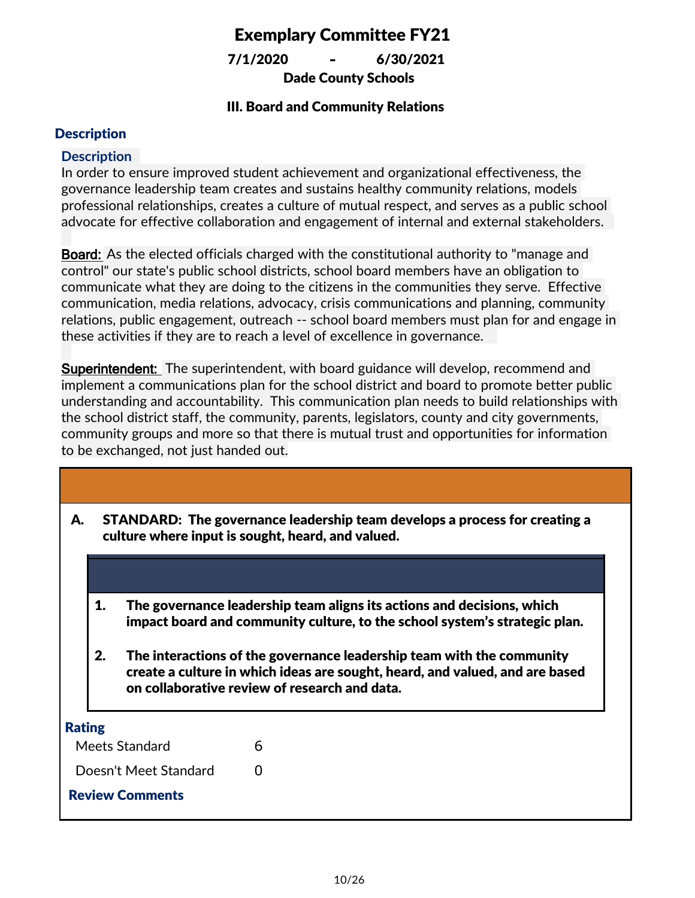Dade County Schools 7/1/2020 **-** 6/30/2021

### III. Board and Community Relations

### **Description**

#### **Description**

In order to ensure improved student achievement and organizational effectiveness, the governance leadership team creates and sustains healthy community relations, models professional relationships, creates a culture of mutual respect, and serves as a public school advocate for effective collaboration and engagement of internal and external stakeholders.

**Board:** As the elected officials charged with the constitutional authority to "manage and control" our state's public school districts, school board members have an obligation to communicate what they are doing to the citizens in the communities they serve. Effective communication, media relations, advocacy, crisis communications and planning, community relations, public engagement, outreach -- school board members must plan for and engage in these activities if they are to reach a level of excellence in governance.

**Superintendent:** The superintendent, with board guidance will develop, recommend and implement a communications plan for the school district and board to promote better public understanding and accountability. This communication plan needs to build relationships with the school district staff, the community, parents, legislators, county and city governments, community groups and more so that there is mutual trust and opportunities for information to be exchanged, not just handed out.

| А.            | STANDARD: The governance leadership team develops a process for creating a<br>culture where input is sought, heard, and valued.                                                                              |                       |   |  |
|---------------|--------------------------------------------------------------------------------------------------------------------------------------------------------------------------------------------------------------|-----------------------|---|--|
|               |                                                                                                                                                                                                              |                       |   |  |
|               | The governance leadership team aligns its actions and decisions, which<br>1.<br>impact board and community culture, to the school system's strategic plan.                                                   |                       |   |  |
|               | 2.<br>The interactions of the governance leadership team with the community<br>create a culture in which ideas are sought, heard, and valued, and are based<br>on collaborative review of research and data. |                       |   |  |
| <b>Rating</b> |                                                                                                                                                                                                              |                       |   |  |
|               |                                                                                                                                                                                                              | Meets Standard        | 6 |  |
|               |                                                                                                                                                                                                              | Doesn't Meet Standard | ∩ |  |
|               | <b>Review Comments</b>                                                                                                                                                                                       |                       |   |  |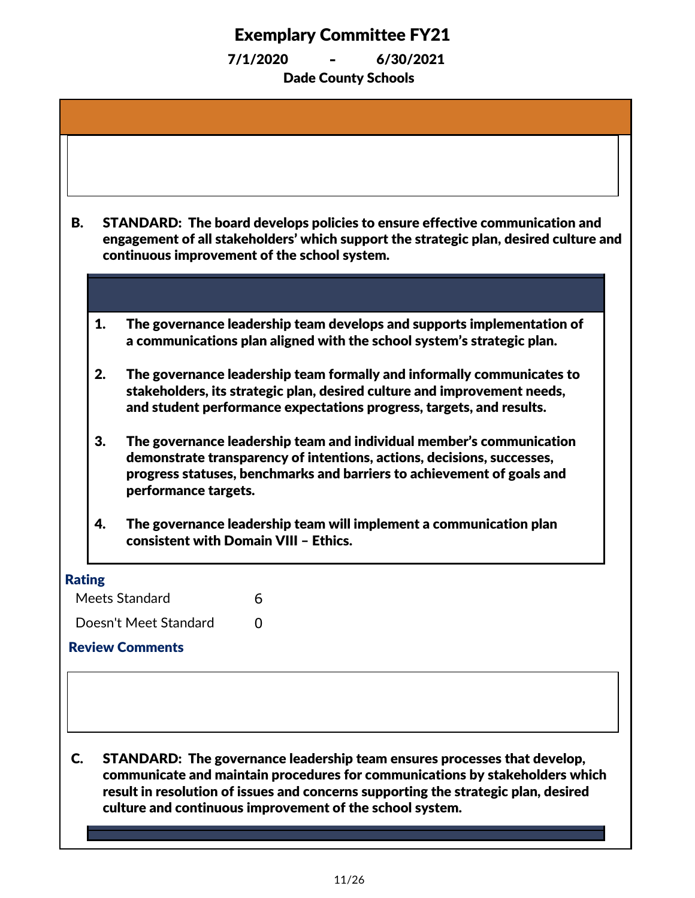| В. |               | STANDARD: The board develops policies to ensure effective communication and<br>engagement of all stakeholders' which support the strategic plan, desired culture and<br>continuous improvement of the school system.                             |
|----|---------------|--------------------------------------------------------------------------------------------------------------------------------------------------------------------------------------------------------------------------------------------------|
|    |               |                                                                                                                                                                                                                                                  |
|    | 1.            | The governance leadership team develops and supports implementation of<br>a communications plan aligned with the school system's strategic plan.                                                                                                 |
|    | 2.            | The governance leadership team formally and informally communicates to<br>stakeholders, its strategic plan, desired culture and improvement needs,<br>and student performance expectations progress, targets, and results.                       |
|    | 3.            | The governance leadership team and individual member's communication<br>demonstrate transparency of intentions, actions, decisions, successes,<br>progress statuses, benchmarks and barriers to achievement of goals and<br>performance targets. |
|    | 4.            | The governance leadership team will implement a communication plan                                                                                                                                                                               |
|    |               | consistent with Domain VIII - Ethics.                                                                                                                                                                                                            |
|    | <b>Rating</b> |                                                                                                                                                                                                                                                  |
|    |               | Meets Standard<br>6                                                                                                                                                                                                                              |
|    |               | Doesn't Meet Standard<br>0<br><b>Review Comments</b>                                                                                                                                                                                             |
|    |               |                                                                                                                                                                                                                                                  |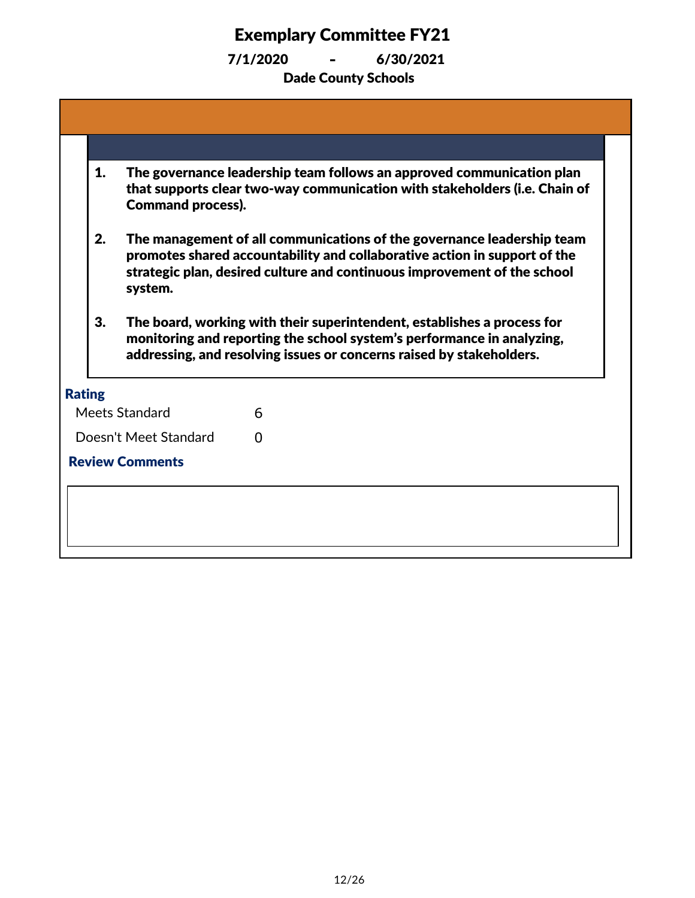| 1.                                                                                                                                                                                                                              | <b>Command process).</b> | The governance leadership team follows an approved communication plan<br>that supports clear two-way communication with stakeholders (i.e. Chain of                                                                             |  |
|---------------------------------------------------------------------------------------------------------------------------------------------------------------------------------------------------------------------------------|--------------------------|---------------------------------------------------------------------------------------------------------------------------------------------------------------------------------------------------------------------------------|--|
| 2.                                                                                                                                                                                                                              | system.                  | The management of all communications of the governance leadership team<br>promotes shared accountability and collaborative action in support of the<br>strategic plan, desired culture and continuous improvement of the school |  |
| 3.<br>The board, working with their superintendent, establishes a process for<br>monitoring and reporting the school system's performance in analyzing,<br>addressing, and resolving issues or concerns raised by stakeholders. |                          |                                                                                                                                                                                                                                 |  |
| <b>Rating</b>                                                                                                                                                                                                                   |                          |                                                                                                                                                                                                                                 |  |
| Meets Standard                                                                                                                                                                                                                  |                          | 6                                                                                                                                                                                                                               |  |
|                                                                                                                                                                                                                                 | Doesn't Meet Standard    | <sup>0</sup>                                                                                                                                                                                                                    |  |
| <b>Review Comments</b>                                                                                                                                                                                                          |                          |                                                                                                                                                                                                                                 |  |
|                                                                                                                                                                                                                                 |                          |                                                                                                                                                                                                                                 |  |
|                                                                                                                                                                                                                                 |                          |                                                                                                                                                                                                                                 |  |
|                                                                                                                                                                                                                                 |                          |                                                                                                                                                                                                                                 |  |
|                                                                                                                                                                                                                                 |                          |                                                                                                                                                                                                                                 |  |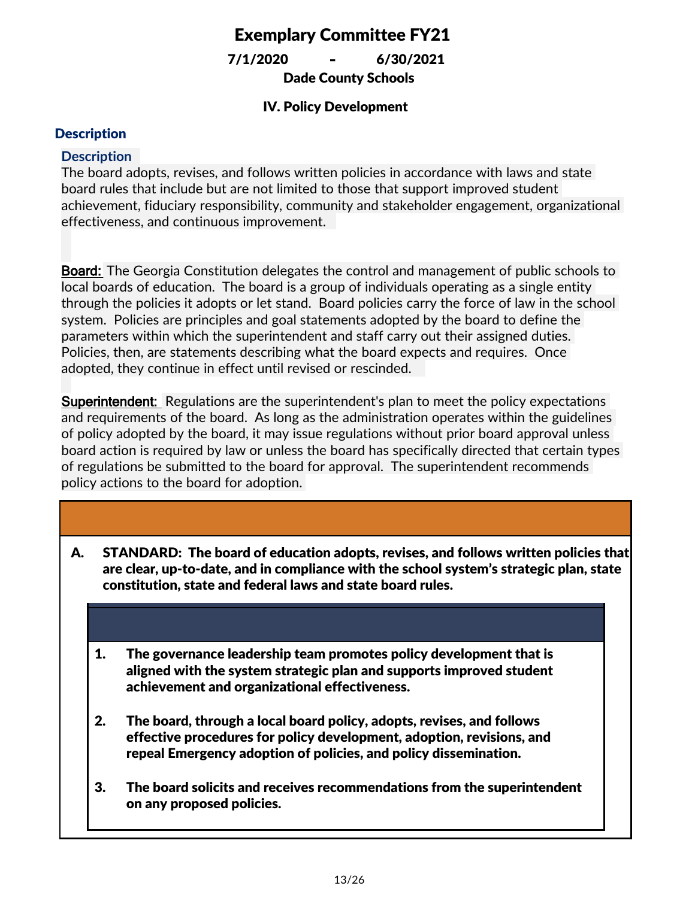Dade County Schools 7/1/2020 **-** 6/30/2021

### IV. Policy Development

#### **Description**

#### **Description**

The board adopts, revises, and follows written policies in accordance with laws and state board rules that include but are not limited to those that support improved student achievement, fiduciary responsibility, community and stakeholder engagement, organizational effectiveness, and continuous improvement.

**Board:** The Georgia Constitution delegates the control and management of public schools to local boards of education. The board is a group of individuals operating as a single entity through the policies it adopts or let stand. Board policies carry the force of law in the school system. Policies are principles and goal statements adopted by the board to define the parameters within which the superintendent and staff carry out their assigned duties. Policies, then, are statements describing what the board expects and requires. Once adopted, they continue in effect until revised or rescinded.

**Superintendent:** Regulations are the superintendent's plan to meet the policy expectations and requirements of the board. As long as the administration operates within the guidelines of policy adopted by the board, it may issue regulations without prior board approval unless board action is required by law or unless the board has specifically directed that certain types of regulations be submitted to the board for approval. The superintendent recommends policy actions to the board for adoption.

- STANDARD: The board of education adopts, revises, and follows written policies that are clear, up-to-date, and in compliance with the school system's strategic plan, state constitution, state and federal laws and state board rules. A.
	- 1. The governance leadership team promotes policy development that is aligned with the system strategic plan and supports improved student achievement and organizational effectiveness.
	- 2. The board, through a local board policy, adopts, revises, and follows effective procedures for policy development, adoption, revisions, and repeal Emergency adoption of policies, and policy dissemination.
	- 3. The board solicits and receives recommendations from the superintendent on any proposed policies.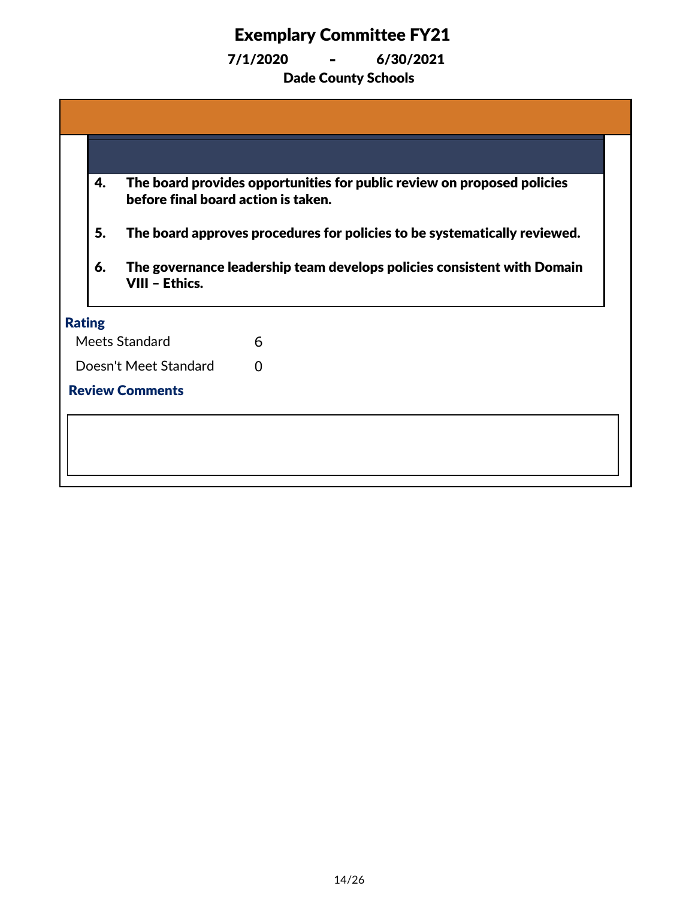|                        | 4. | The board provides opportunities for public review on proposed policies<br>before final board action is taken.                                                               |              |  |
|------------------------|----|------------------------------------------------------------------------------------------------------------------------------------------------------------------------------|--------------|--|
|                        | 5. | The board approves procedures for policies to be systematically reviewed.<br>The governance leadership team develops policies consistent with Domain<br>6.<br>VIII - Ethics. |              |  |
|                        |    |                                                                                                                                                                              |              |  |
| <b>Rating</b>          |    |                                                                                                                                                                              |              |  |
| Meets Standard         |    |                                                                                                                                                                              | 6            |  |
| Doesn't Meet Standard  |    |                                                                                                                                                                              | <sup>0</sup> |  |
| <b>Review Comments</b> |    |                                                                                                                                                                              |              |  |
|                        |    |                                                                                                                                                                              |              |  |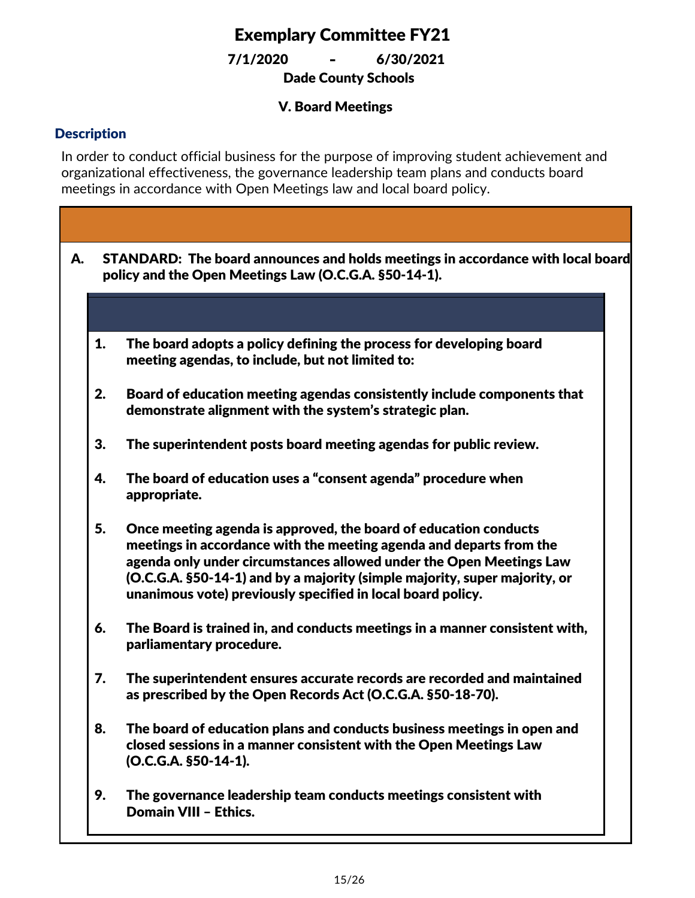Dade County Schools 7/1/2020 **-** 6/30/2021

### V. Board Meetings

### **Description**

In order to conduct official business for the purpose of improving student achievement and organizational effectiveness, the governance leadership team plans and conducts board meetings in accordance with Open Meetings law and local board policy.

| А. | STANDARD: The board announces and holds meetings in accordance with local board<br>policy and the Open Meetings Law (O.C.G.A. §50-14-1). |                                                                                                                                                                                                                                                                                                                                                             |  |  |  |  |
|----|------------------------------------------------------------------------------------------------------------------------------------------|-------------------------------------------------------------------------------------------------------------------------------------------------------------------------------------------------------------------------------------------------------------------------------------------------------------------------------------------------------------|--|--|--|--|
|    |                                                                                                                                          |                                                                                                                                                                                                                                                                                                                                                             |  |  |  |  |
|    | 1.                                                                                                                                       | The board adopts a policy defining the process for developing board<br>meeting agendas, to include, but not limited to:                                                                                                                                                                                                                                     |  |  |  |  |
|    | 2.                                                                                                                                       | Board of education meeting agendas consistently include components that<br>demonstrate alignment with the system's strategic plan.                                                                                                                                                                                                                          |  |  |  |  |
|    | 3.                                                                                                                                       | The superintendent posts board meeting agendas for public review.                                                                                                                                                                                                                                                                                           |  |  |  |  |
|    | 4.                                                                                                                                       | The board of education uses a "consent agenda" procedure when<br>appropriate.                                                                                                                                                                                                                                                                               |  |  |  |  |
|    | 5.                                                                                                                                       | Once meeting agenda is approved, the board of education conducts<br>meetings in accordance with the meeting agenda and departs from the<br>agenda only under circumstances allowed under the Open Meetings Law<br>(O.C.G.A. §50-14-1) and by a majority (simple majority, super majority, or<br>unanimous vote) previously specified in local board policy. |  |  |  |  |
|    | 6.                                                                                                                                       | The Board is trained in, and conducts meetings in a manner consistent with,<br>parliamentary procedure.                                                                                                                                                                                                                                                     |  |  |  |  |
|    | 7.                                                                                                                                       | The superintendent ensures accurate records are recorded and maintained<br>as prescribed by the Open Records Act (O.C.G.A. §50-18-70).                                                                                                                                                                                                                      |  |  |  |  |
|    | 8.                                                                                                                                       | The board of education plans and conducts business meetings in open and<br>closed sessions in a manner consistent with the Open Meetings Law<br>(O.C.G.A. §50-14-1).                                                                                                                                                                                        |  |  |  |  |
|    | 9.                                                                                                                                       | The governance leadership team conducts meetings consistent with<br><b>Domain VIII - Ethics.</b>                                                                                                                                                                                                                                                            |  |  |  |  |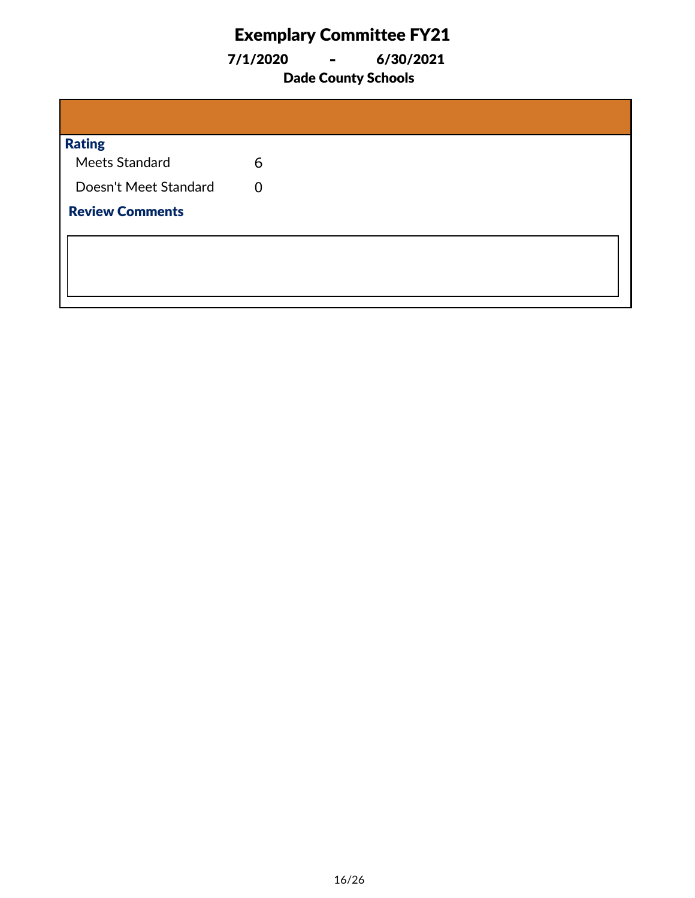7/1/2020 **-** 6/30/2021

### Dade County Schools

| <b>Rating</b>          |   |
|------------------------|---|
| Meets Standard         | 6 |
| Doesn't Meet Standard  | 0 |
| <b>Review Comments</b> |   |
|                        |   |
|                        |   |
|                        |   |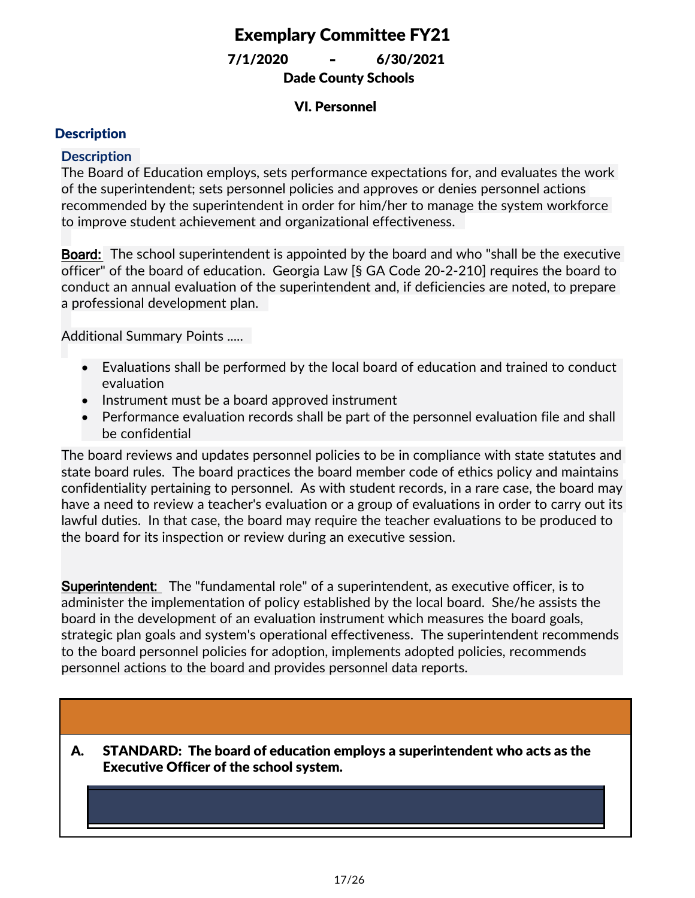Dade County Schools 7/1/2020 **-** 6/30/2021

### VI. Personnel

### **Description**

#### **Description**

The Board of Education employs, sets performance expectations for, and evaluates the work of the superintendent; sets personnel policies and approves or denies personnel actions recommended by the superintendent in order for him/her to manage the system workforce to improve student achievement and organizational effectiveness.

**Board:** The school superintendent is appointed by the board and who "shall be the executive officer" of the board of education. Georgia Law [§ GA Code 20-2-210] requires the board to conduct an annual evaluation of the superintendent and, if deficiencies are noted, to prepare a professional development plan.

Additional Summary Points .....

- Evaluations shall be performed by the local board of education and trained to conduct evaluation
- Instrument must be a board approved instrument
- · Performance evaluation records shall be part of the personnel evaluation file and shall be confidential

The board reviews and updates personnel policies to be in compliance with state statutes and state board rules. The board practices the board member code of ethics policy and maintains confidentiality pertaining to personnel. As with student records, in a rare case, the board may have a need to review a teacher's evaluation or a group of evaluations in order to carry out its lawful duties. In that case, the board may require the teacher evaluations to be produced to the board for its inspection or review during an executive session.

**Superintendent:** The "fundamental role" of a superintendent, as executive officer, is to administer the implementation of policy established by the local board. She/he assists the board in the development of an evaluation instrument which measures the board goals, strategic plan goals and system's operational effectiveness. The superintendent recommends to the board personnel policies for adoption, implements adopted policies, recommends personnel actions to the board and provides personnel data reports.

STANDARD: The board of education employs a superintendent who acts as the Executive Officer of the school system. A.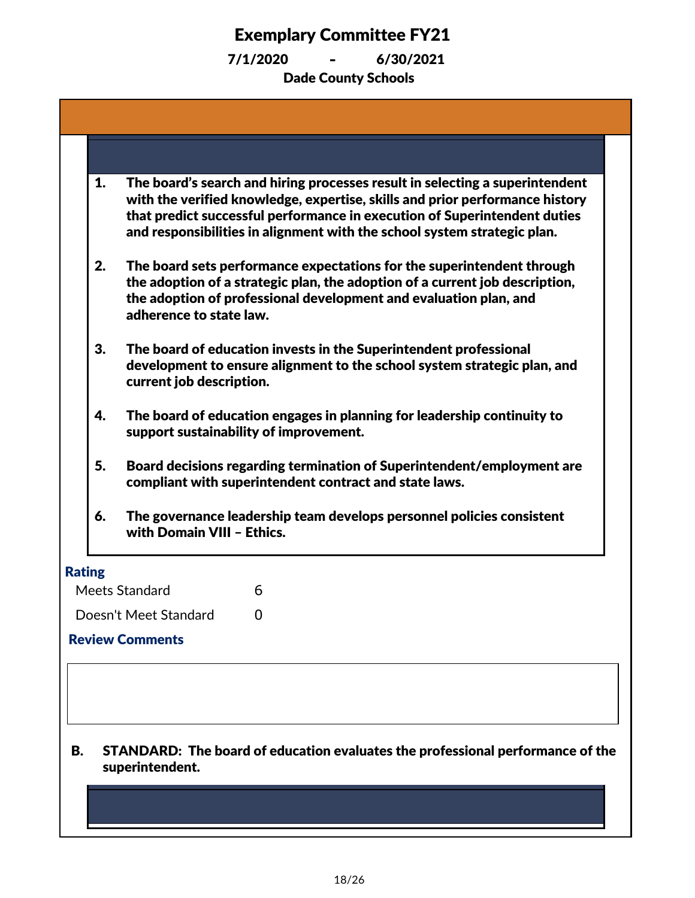| 1.            | The board's search and hiring processes result in selecting a superintendent<br>with the verified knowledge, expertise, skills and prior performance history<br>that predict successful performance in execution of Superintendent duties<br>and responsibilities in alignment with the school system strategic plan. |
|---------------|-----------------------------------------------------------------------------------------------------------------------------------------------------------------------------------------------------------------------------------------------------------------------------------------------------------------------|
| 2.            | The board sets performance expectations for the superintendent through<br>the adoption of a strategic plan, the adoption of a current job description,<br>the adoption of professional development and evaluation plan, and<br>adherence to state law.                                                                |
| 3.            | The board of education invests in the Superintendent professional<br>development to ensure alignment to the school system strategic plan, and<br>current job description.                                                                                                                                             |
| 4.            | The board of education engages in planning for leadership continuity to<br>support sustainability of improvement.                                                                                                                                                                                                     |
| 5.            | Board decisions regarding termination of Superintendent/employment are<br>compliant with superintendent contract and state laws.                                                                                                                                                                                      |
| 6.            | The governance leadership team develops personnel policies consistent<br>with Domain VIII - Ethics.                                                                                                                                                                                                                   |
| <b>Rating</b> |                                                                                                                                                                                                                                                                                                                       |
|               | Meets Standard<br>6<br>Doesn't Meet Standard                                                                                                                                                                                                                                                                          |
|               | 0<br><b>Review Comments</b>                                                                                                                                                                                                                                                                                           |
|               |                                                                                                                                                                                                                                                                                                                       |
| <b>B.</b>     | STANDARD: The board of education evaluates the professional performance of the<br>superintendent.                                                                                                                                                                                                                     |
|               |                                                                                                                                                                                                                                                                                                                       |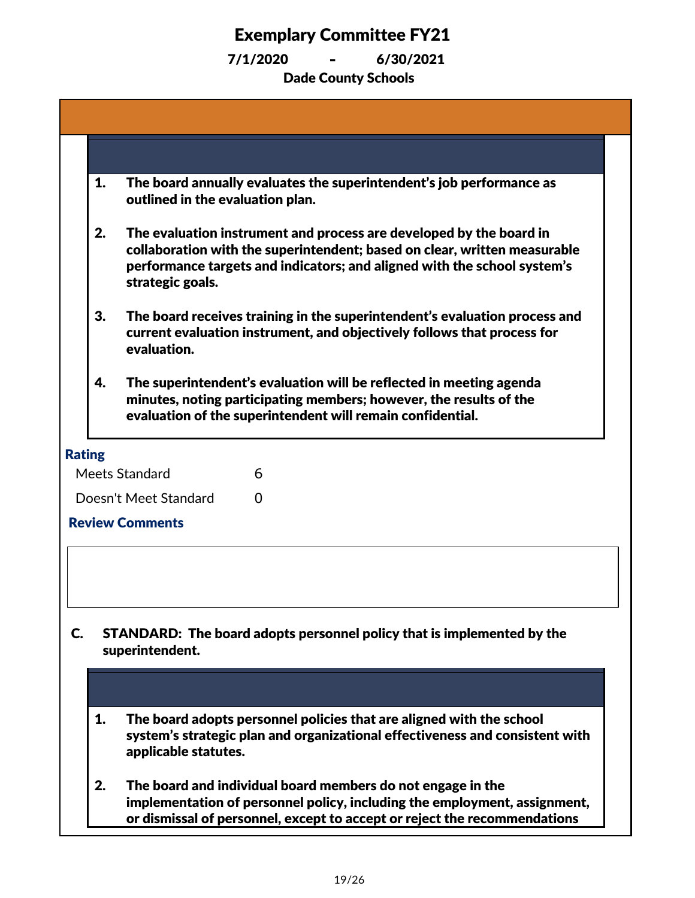|               | 1.                                                                                        | The board annually evaluates the superintendent's job performance as<br>outlined in the evaluation plan.                                                                                                                                         |  |  |  |  |
|---------------|-------------------------------------------------------------------------------------------|--------------------------------------------------------------------------------------------------------------------------------------------------------------------------------------------------------------------------------------------------|--|--|--|--|
|               | 2.                                                                                        | The evaluation instrument and process are developed by the board in<br>collaboration with the superintendent; based on clear, written measurable<br>performance targets and indicators; and aligned with the school system's<br>strategic goals. |  |  |  |  |
|               | 3.                                                                                        | The board receives training in the superintendent's evaluation process and<br>current evaluation instrument, and objectively follows that process for<br>evaluation.                                                                             |  |  |  |  |
|               | 4.                                                                                        | The superintendent's evaluation will be reflected in meeting agenda<br>minutes, noting participating members; however, the results of the<br>evaluation of the superintendent will remain confidential.                                          |  |  |  |  |
| <b>Rating</b> |                                                                                           |                                                                                                                                                                                                                                                  |  |  |  |  |
|               |                                                                                           | Meets Standard<br>6                                                                                                                                                                                                                              |  |  |  |  |
|               |                                                                                           | Doesn't Meet Standard<br>0                                                                                                                                                                                                                       |  |  |  |  |
|               |                                                                                           | <b>Review Comments</b>                                                                                                                                                                                                                           |  |  |  |  |
|               |                                                                                           |                                                                                                                                                                                                                                                  |  |  |  |  |
| C.            | STANDARD: The board adopts personnel policy that is implemented by the<br>superintendent. |                                                                                                                                                                                                                                                  |  |  |  |  |
|               |                                                                                           |                                                                                                                                                                                                                                                  |  |  |  |  |
|               | 1.                                                                                        | The board adopts personnel policies that are aligned with the school<br>system's strategic plan and organizational effectiveness and consistent with<br>applicable statutes.                                                                     |  |  |  |  |
|               | 2.                                                                                        | The board and individual board members do not engage in the<br>implementation of personnel policy, including the employment, assignment,<br>or dismissal of personnel, except to accept or reject the recommendations                            |  |  |  |  |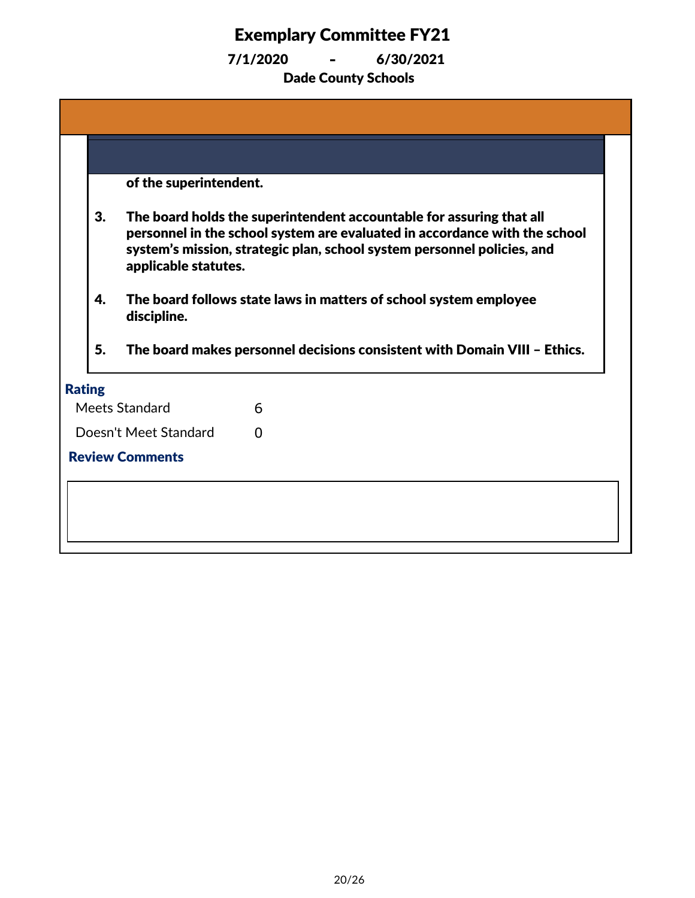|               |    | of the superintendent. |                                                                                                                                                                                                                               |  |
|---------------|----|------------------------|-------------------------------------------------------------------------------------------------------------------------------------------------------------------------------------------------------------------------------|--|
|               | 3. | applicable statutes.   | The board holds the superintendent accountable for assuring that all<br>personnel in the school system are evaluated in accordance with the school<br>system's mission, strategic plan, school system personnel policies, and |  |
|               | 4. | discipline.            | The board follows state laws in matters of school system employee                                                                                                                                                             |  |
|               | 5. |                        | The board makes personnel decisions consistent with Domain VIII - Ethics.                                                                                                                                                     |  |
| <b>Rating</b> |    |                        |                                                                                                                                                                                                                               |  |
|               |    | Meets Standard         | 6                                                                                                                                                                                                                             |  |
|               |    | Doesn't Meet Standard  | O                                                                                                                                                                                                                             |  |
|               |    | <b>Review Comments</b> |                                                                                                                                                                                                                               |  |
|               |    |                        |                                                                                                                                                                                                                               |  |
|               |    |                        |                                                                                                                                                                                                                               |  |
|               |    |                        |                                                                                                                                                                                                                               |  |
|               |    |                        |                                                                                                                                                                                                                               |  |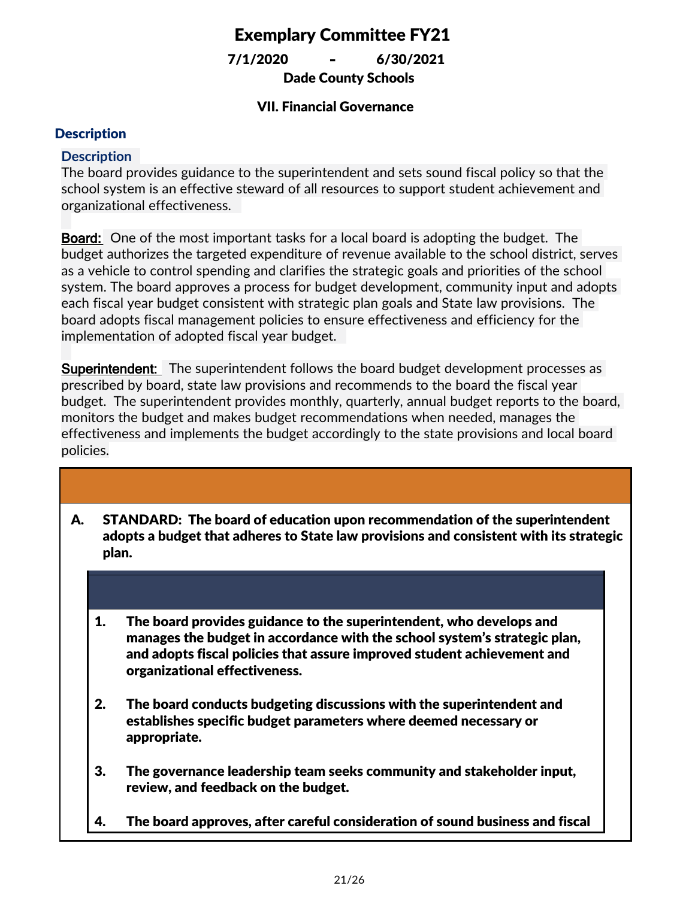Dade County Schools 7/1/2020 **-** 6/30/2021

### VII. Financial Governance

### **Description**

### **Description**

The board provides guidance to the superintendent and sets sound fiscal policy so that the school system is an effective steward of all resources to support student achievement and organizational effectiveness.

**Board:** One of the most important tasks for a local board is adopting the budget. The budget authorizes the targeted expenditure of revenue available to the school district, serves as a vehicle to control spending and clarifies the strategic goals and priorities of the school system. The board approves a process for budget development, community input and adopts each fiscal year budget consistent with strategic plan goals and State law provisions. The board adopts fiscal management policies to ensure effectiveness and efficiency for the implementation of adopted fiscal year budget.

**Superintendent:** The superintendent follows the board budget development processes as prescribed by board, state law provisions and recommends to the board the fiscal year budget. The superintendent provides monthly, quarterly, annual budget reports to the board, monitors the budget and makes budget recommendations when needed, manages the effectiveness and implements the budget accordingly to the state provisions and local board policies.

- STANDARD: The board of education upon recommendation of the superintendent adopts a budget that adheres to State law provisions and consistent with its strategic plan. A.
	- 1. The board provides guidance to the superintendent, who develops and manages the budget in accordance with the school system's strategic plan, and adopts fiscal policies that assure improved student achievement and organizational effectiveness.
	- 2. The board conducts budgeting discussions with the superintendent and establishes specific budget parameters where deemed necessary or appropriate.
	- 3. The governance leadership team seeks community and stakeholder input, review, and feedback on the budget.
	- 4. The board approves, after careful consideration of sound business and fiscal

 $p$  and system is budget reflecting to system  $\mathcal{L}$  system is budget reflecting the strategic plan.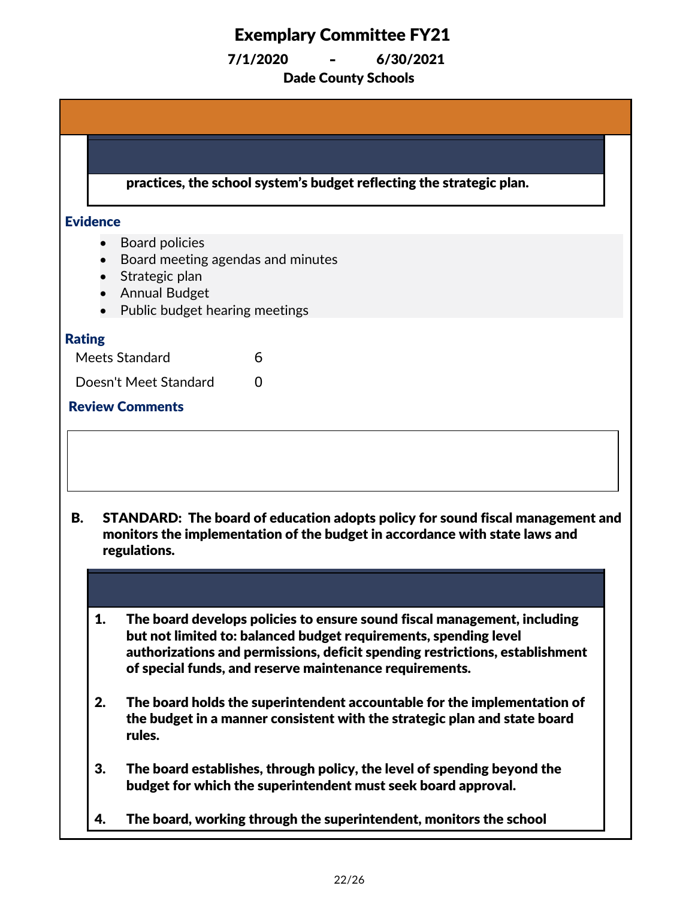| practices, the school system's budget reflecting the strategic plan.                                                                                                                                                                                                                          |  |
|-----------------------------------------------------------------------------------------------------------------------------------------------------------------------------------------------------------------------------------------------------------------------------------------------|--|
| <b>Evidence</b>                                                                                                                                                                                                                                                                               |  |
| <b>Board policies</b><br>Board meeting agendas and minutes<br>Strategic plan<br><b>Annual Budget</b><br>Public budget hearing meetings                                                                                                                                                        |  |
| <b>Rating</b>                                                                                                                                                                                                                                                                                 |  |
| Meets Standard<br>6                                                                                                                                                                                                                                                                           |  |
| Doesn't Meet Standard<br>$\Omega$                                                                                                                                                                                                                                                             |  |
| <b>Review Comments</b>                                                                                                                                                                                                                                                                        |  |
|                                                                                                                                                                                                                                                                                               |  |
| В.<br>STANDARD: The board of education adopts policy for sound fiscal management and<br>monitors the implementation of the budget in accordance with state laws and<br>regulations.                                                                                                           |  |
|                                                                                                                                                                                                                                                                                               |  |
| 1.<br>The board develops policies to ensure sound fiscal management, including<br>but not limited to: balanced budget requirements, spending level<br>authorizations and permissions, deficit spending restrictions, establishment<br>of special funds, and reserve maintenance requirements. |  |
| 2.<br>The board holds the superintendent accountable for the implementation of<br>the budget in a manner consistent with the strategic plan and state board                                                                                                                                   |  |
| rules.                                                                                                                                                                                                                                                                                        |  |
| 3.<br>The board establishes, through policy, the level of spending beyond the<br>budget for which the superintendent must seek board approval.                                                                                                                                                |  |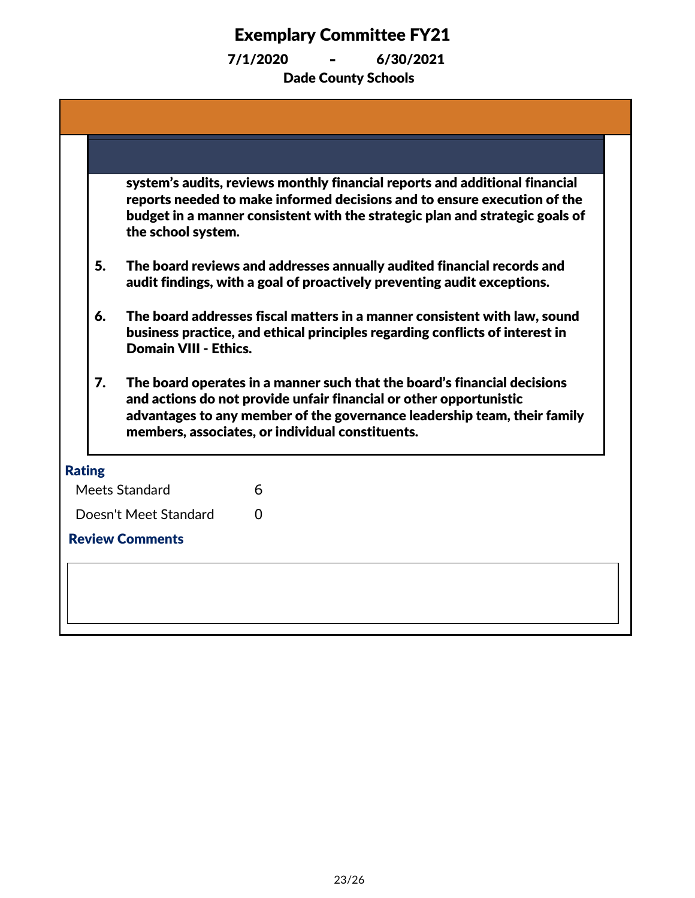| 5.            |                                                                   |                                                                                                                                                                                                                                                                                                                                                                                                                                                                                                                                                                                                                                                                                                                                                                                                                                                                                                   |
|---------------|-------------------------------------------------------------------|---------------------------------------------------------------------------------------------------------------------------------------------------------------------------------------------------------------------------------------------------------------------------------------------------------------------------------------------------------------------------------------------------------------------------------------------------------------------------------------------------------------------------------------------------------------------------------------------------------------------------------------------------------------------------------------------------------------------------------------------------------------------------------------------------------------------------------------------------------------------------------------------------|
| 6.            |                                                                   |                                                                                                                                                                                                                                                                                                                                                                                                                                                                                                                                                                                                                                                                                                                                                                                                                                                                                                   |
| 7.            |                                                                   |                                                                                                                                                                                                                                                                                                                                                                                                                                                                                                                                                                                                                                                                                                                                                                                                                                                                                                   |
| <b>Rating</b> |                                                                   |                                                                                                                                                                                                                                                                                                                                                                                                                                                                                                                                                                                                                                                                                                                                                                                                                                                                                                   |
|               | 6                                                                 |                                                                                                                                                                                                                                                                                                                                                                                                                                                                                                                                                                                                                                                                                                                                                                                                                                                                                                   |
|               | 0                                                                 |                                                                                                                                                                                                                                                                                                                                                                                                                                                                                                                                                                                                                                                                                                                                                                                                                                                                                                   |
|               |                                                                   |                                                                                                                                                                                                                                                                                                                                                                                                                                                                                                                                                                                                                                                                                                                                                                                                                                                                                                   |
|               |                                                                   |                                                                                                                                                                                                                                                                                                                                                                                                                                                                                                                                                                                                                                                                                                                                                                                                                                                                                                   |
|               | Meets Standard<br>Doesn't Meet Standard<br><b>Review Comments</b> | system's audits, reviews monthly financial reports and additional financial<br>reports needed to make informed decisions and to ensure execution of the<br>budget in a manner consistent with the strategic plan and strategic goals of<br>the school system.<br>The board reviews and addresses annually audited financial records and<br>audit findings, with a goal of proactively preventing audit exceptions.<br>The board addresses fiscal matters in a manner consistent with law, sound<br>business practice, and ethical principles regarding conflicts of interest in<br><b>Domain VIII - Ethics.</b><br>The board operates in a manner such that the board's financial decisions<br>and actions do not provide unfair financial or other opportunistic<br>advantages to any member of the governance leadership team, their family<br>members, associates, or individual constituents. |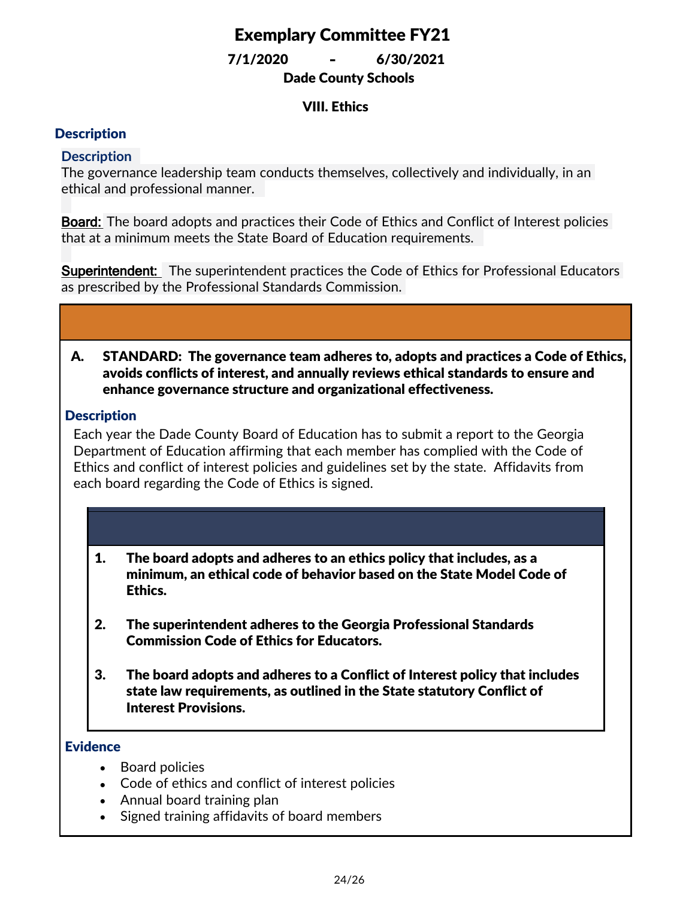Dade County Schools 7/1/2020 **-** 6/30/2021

### VIII. Ethics

### **Description**

### **Description**

The governance leadership team conducts themselves, collectively and individually, in an ethical and professional manner.

**Board:** The board adopts and practices their Code of Ethics and Conflict of Interest policies that at a minimum meets the State Board of Education requirements.

**Superintendent:** The superintendent practices the Code of Ethics for Professional Educators as prescribed by the Professional Standards Commission.

#### STANDARD: The governance team adheres to, adopts and practices a Code of Ethics, avoids conflicts of interest, and annually reviews ethical standards to ensure and enhance governance structure and organizational effectiveness. A.

### **Description**

Each year the Dade County Board of Education has to submit a report to the Georgia Department of Education affirming that each member has complied with the Code of Ethics and conflict of interest policies and guidelines set by the state. Affidavits from each board regarding the Code of Ethics is signed.

#### 1. The board adopts and adheres to an ethics policy that includes, as a minimum, an ethical code of behavior based on the State Model Code of Ethics.

- 2. The superintendent adheres to the Georgia Professional Standards Commission Code of Ethics for Educators.
- 3. The board adopts and adheres to a Conflict of Interest policy that includes state law requirements, as outlined in the State statutory Conflict of Interest Provisions.

#### **Evidence**

- · Board policies
- · Code of ethics and conflict of interest policies
- Annual board training plan
- · Signed training affidavits of board members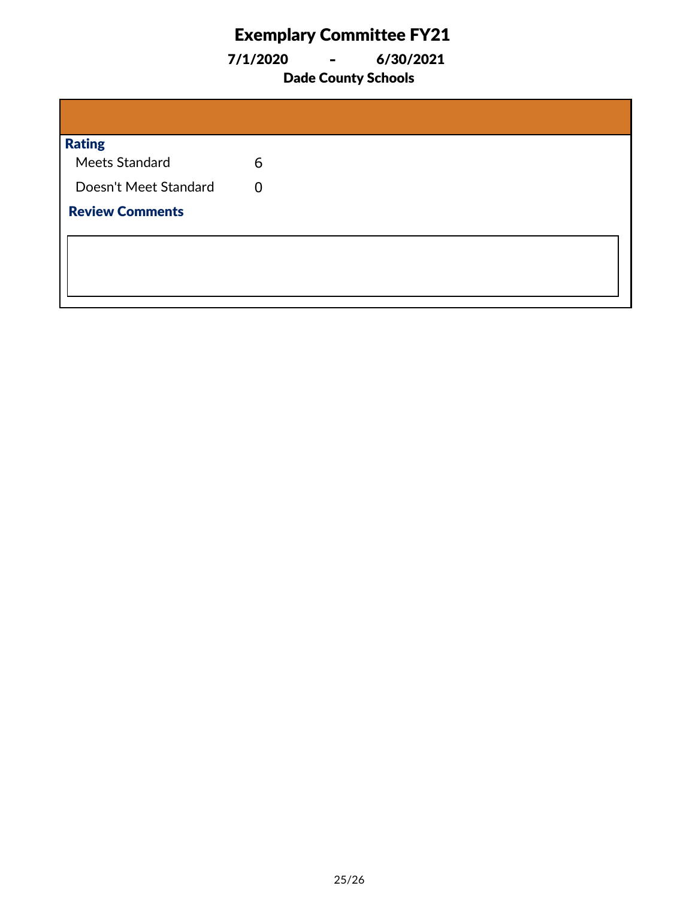7/1/2020 **-** 6/30/2021

### Dade County Schools

| <b>Rating</b>          |   |
|------------------------|---|
| Meets Standard         | 6 |
| Doesn't Meet Standard  | 0 |
| <b>Review Comments</b> |   |
|                        |   |
|                        |   |
|                        |   |